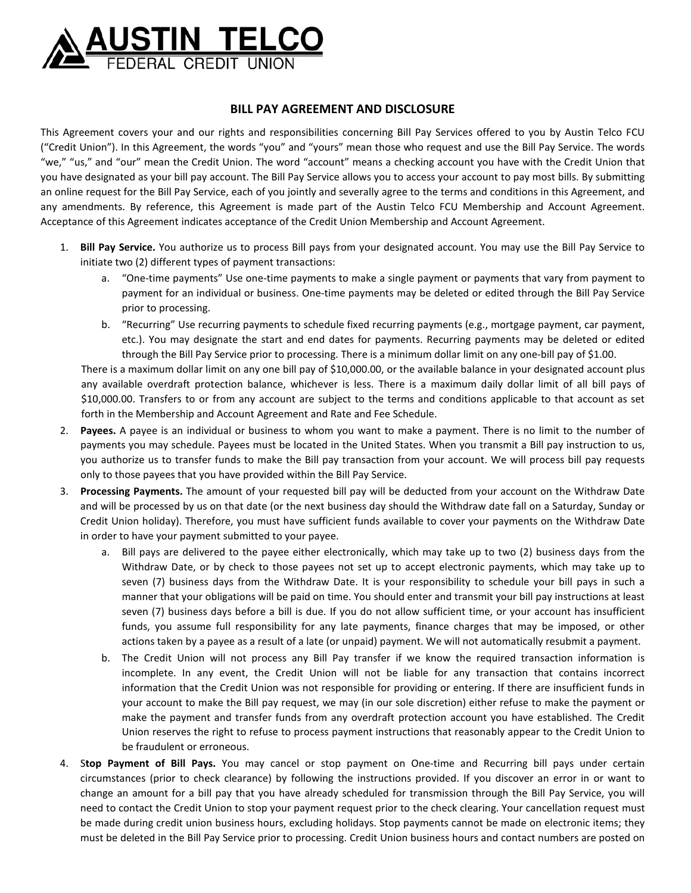

## **BILL PAY AGREEMENT AND DISCLOSURE**

This Agreement covers your and our rights and responsibilities concerning Bill Pay Services offered to you by Austin Telco FCU ("Credit Union"). In this Agreement, the words "you" and "yours" mean those who request and use the Bill Pay Service. The words "we," "us," and "our" mean the Credit Union. The word "account" means a checking account you have with the Credit Union that you have designated as your bill pay account. The Bill Pay Service allows you to access your account to pay most bills. By submitting an online request for the Bill Pay Service, each of you jointly and severally agree to the terms and conditions in this Agreement, and any amendments. By reference, this Agreement is made part of the Austin Telco FCU Membership and Account Agreement. Acceptance of this Agreement indicates acceptance of the Credit Union Membership and Account Agreement.

- 1. **Bill Pay Service.** You authorize us to process Bill pays from your designated account. You may use the Bill Pay Service to initiate two (2) different types of payment transactions:
	- a. "One-time payments" Use one-time payments to make a single payment or payments that vary from payment to payment for an individual or business. One‐time payments may be deleted or edited through the Bill Pay Service prior to processing.
	- b. "Recurring" Use recurring payments to schedule fixed recurring payments (e.g., mortgage payment, car payment, etc.). You may designate the start and end dates for payments. Recurring payments may be deleted or edited through the Bill Pay Service prior to processing. There is a minimum dollar limit on any one‐bill pay of \$1.00.

There is a maximum dollar limit on any one bill pay of \$10,000.00, or the available balance in your designated account plus any available overdraft protection balance, whichever is less. There is a maximum daily dollar limit of all bill pays of \$10,000.00. Transfers to or from any account are subject to the terms and conditions applicable to that account as set forth in the Membership and Account Agreement and Rate and Fee Schedule.

- 2. **Payees.** A payee is an individual or business to whom you want to make a payment. There is no limit to the number of payments you may schedule. Payees must be located in the United States. When you transmit a Bill pay instruction to us, you authorize us to transfer funds to make the Bill pay transaction from your account. We will process bill pay requests only to those payees that you have provided within the Bill Pay Service.
- 3. **Processing Payments.** The amount of your requested bill pay will be deducted from your account on the Withdraw Date and will be processed by us on that date (or the next business day should the Withdraw date fall on a Saturday, Sunday or Credit Union holiday). Therefore, you must have sufficient funds available to cover your payments on the Withdraw Date in order to have your payment submitted to your payee.
	- a. Bill pays are delivered to the payee either electronically, which may take up to two (2) business days from the Withdraw Date, or by check to those payees not set up to accept electronic payments, which may take up to seven (7) business days from the Withdraw Date. It is your responsibility to schedule your bill pays in such a manner that your obligations will be paid on time. You should enter and transmit your bill pay instructions at least seven (7) business days before a bill is due. If you do not allow sufficient time, or your account has insufficient funds, you assume full responsibility for any late payments, finance charges that may be imposed, or other actions taken by a payee as a result of a late (or unpaid) payment. We will not automatically resubmit a payment.
	- b. The Credit Union will not process any Bill Pay transfer if we know the required transaction information is incomplete. In any event, the Credit Union will not be liable for any transaction that contains incorrect information that the Credit Union was not responsible for providing or entering. If there are insufficient funds in your account to make the Bill pay request, we may (in our sole discretion) either refuse to make the payment or make the payment and transfer funds from any overdraft protection account you have established. The Credit Union reserves the right to refuse to process payment instructions that reasonably appear to the Credit Union to be fraudulent or erroneous.
- 4. S**top Payment of Bill Pays.** You may cancel or stop payment on One‐time and Recurring bill pays under certain circumstances (prior to check clearance) by following the instructions provided. If you discover an error in or want to change an amount for a bill pay that you have already scheduled for transmission through the Bill Pay Service, you will need to contact the Credit Union to stop your payment request prior to the check clearing. Your cancellation request must be made during credit union business hours, excluding holidays. Stop payments cannot be made on electronic items; they must be deleted in the Bill Pay Service prior to processing. Credit Union business hours and contact numbers are posted on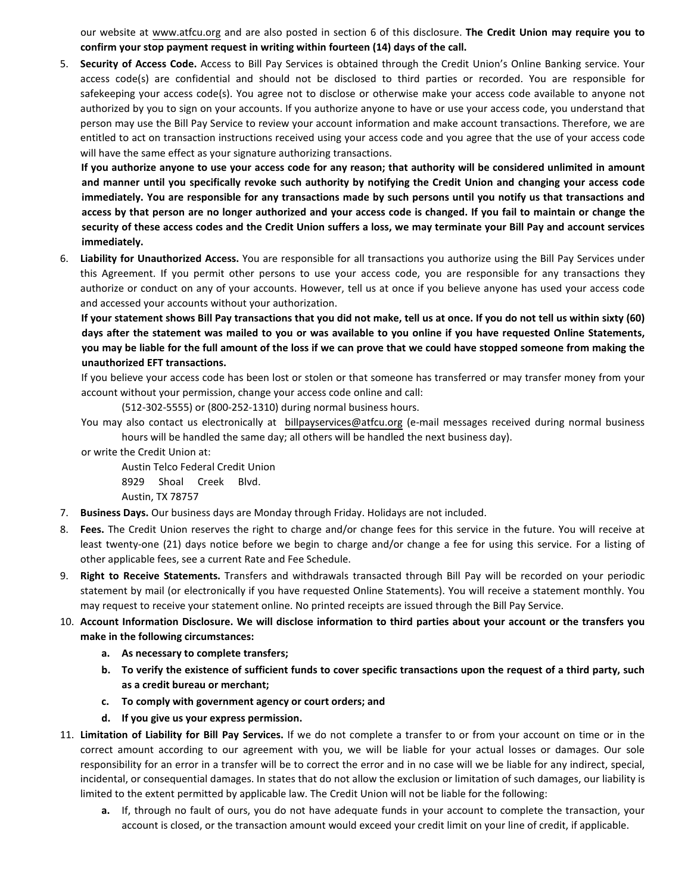our website at [www.atfcu.org](https://www.atfcu.org/) and are also posted in section 6 of this disclosure. **The Credit Union may require you to confirm your stop payment request in writing within fourteen (14) days of the call.**

5. **Security of Access Code.** Access to Bill Pay Services is obtained through the Credit Union's Online Banking service. Your access code(s) are confidential and should not be disclosed to third parties or recorded. You are responsible for safekeeping your access code(s). You agree not to disclose or otherwise make your access code available to anyone not authorized by you to sign on your accounts. If you authorize anyone to have or use your access code, you understand that person may use the Bill Pay Service to review your account information and make account transactions. Therefore, we are entitled to act on transaction instructions received using your access code and you agree that the use of your access code will have the same effect as your signature authorizing transactions.

**If you authorize anyone to use your access code for any reason; that authority will be considered unlimited in amount and manner until you specifically revoke such authority by notifying the Credit Union and changing your access code immediately. You are responsible for any transactions made by such persons until you notify us that transactions and access by that person are no longer authorized and your access code is changed. If you fail to maintain or change the security of these access codes and the Credit Union suffers a loss, we may terminate your Bill Pay and account services immediately.**

6. **Liability for Unauthorized Access.** You are responsible for all transactions you authorize using the Bill Pay Services under this Agreement. If you permit other persons to use your access code, you are responsible for any transactions they authorize or conduct on any of your accounts. However, tell us at once if you believe anyone has used your access code and accessed your accounts without your authorization.

**If your statement shows Bill Pay transactions that you did not make, tell us at once. If you do not tell us within sixty (60) days after the statement was mailed to you or was available to you online if you have requested Online Statements, you may be liable for the full amount of the loss if we can prove that we could have stopped someone from making the unauthorized EFT transactions.** 

If you believe your access code has been lost or stolen or that someone has transferred or may transfer money from your account without your permission, change your access code online and call:

(512‐302‐5555) or (800‐252‐1310) during normal business hours.

You may also contact us electronically at [billpayservices@atfcu.org](mailto:billpayservices@atfcu.org) (e-mail messages received during normal business hours will be handled the same day; all others will be handled the next business day).

or write the Credit Union at:

Austin Telco Federal Credit Union 8929 Shoal Creek Blvd. Austin, TX 78757

- 7. **Business Days.** Our business days are Monday through Friday. Holidays are not included.
- 8. **Fees.** The Credit Union reserves the right to charge and/or change fees for this service in the future. You will receive at least twenty-one (21) days notice before we begin to charge and/or change a fee for using this service. For a listing of other applicable fees, see a current Rate and Fee Schedule.
- 9. **Right to Receive Statements.** Transfers and withdrawals transacted through Bill Pay will be recorded on your periodic statement by mail (or electronically if you have requested Online Statements). You will receive a statement monthly. You may request to receive your statement online. No printed receipts are issued through the Bill Pay Service.
- 10. **Account Information Disclosure. We will disclose information to third parties about your account or the transfers you make in the following circumstances:** 
	- **a. As necessary to complete transfers;**
	- **b. To verify the existence of sufficient funds to cover specific transactions upon the request of a third party, such as a credit bureau or merchant;**
	- **c. To comply with government agency or court orders; and**
	- **d. If you give us your express permission.**
- 11. **Limitation of Liability for Bill Pay Services.** If we do not complete a transfer to or from your account on time or in the correct amount according to our agreement with you, we will be liable for your actual losses or damages. Our sole responsibility for an error in a transfer will be to correct the error and in no case will we be liable for any indirect, special, incidental, or consequential damages. In states that do not allow the exclusion or limitation of such damages, our liability is limited to the extent permitted by applicable law. The Credit Union will not be liable for the following:
	- **a.** If, through no fault of ours, you do not have adequate funds in your account to complete the transaction, your account is closed, or the transaction amount would exceed your credit limit on your line of credit, if applicable.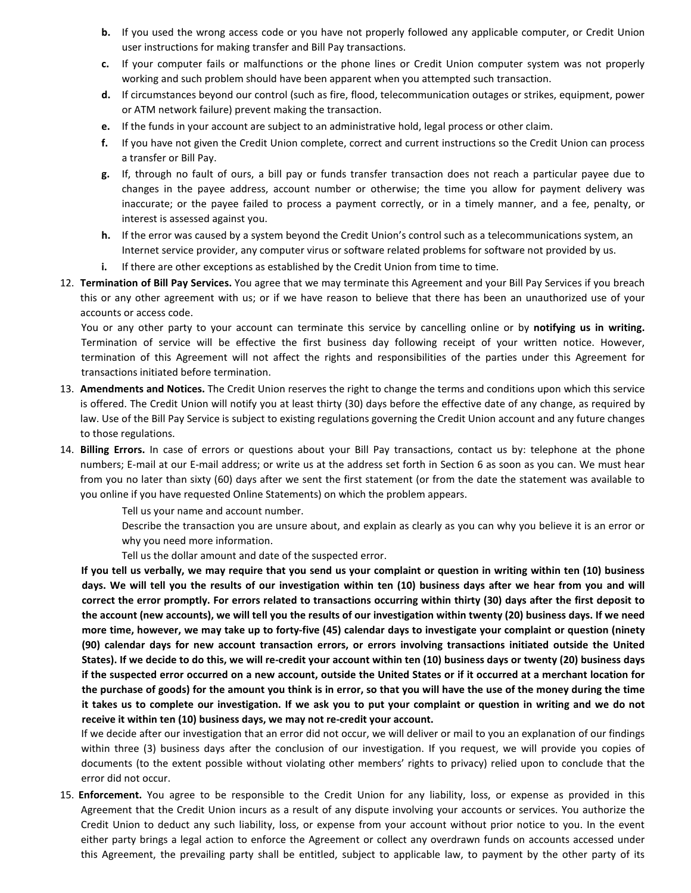- **b.** If you used the wrong access code or you have not properly followed any applicable computer, or Credit Union user instructions for making transfer and Bill Pay transactions.
- **c.** If your computer fails or malfunctions or the phone lines or Credit Union computer system was not properly working and such problem should have been apparent when you attempted such transaction.
- **d.** If circumstances beyond our control (such as fire, flood, telecommunication outages or strikes, equipment, power or ATM network failure) prevent making the transaction.
- **e.** If the funds in your account are subject to an administrative hold, legal process or other claim.
- **f.** If you have not given the Credit Union complete, correct and current instructions so the Credit Union can process a transfer or Bill Pay.
- **g.** If, through no fault of ours, a bill pay or funds transfer transaction does not reach a particular payee due to changes in the payee address, account number or otherwise; the time you allow for payment delivery was inaccurate; or the payee failed to process a payment correctly, or in a timely manner, and a fee, penalty, or interest is assessed against you.
- **h.** If the error was caused by a system beyond the Credit Union's control such as a telecommunications system, an Internet service provider, any computer virus or software related problems for software not provided by us.
- **i.** If there are other exceptions as established by the Credit Union from time to time.
- 12. **Termination of Bill Pay Services.** You agree that we may terminate this Agreement and your Bill Pay Services if you breach this or any other agreement with us; or if we have reason to believe that there has been an unauthorized use of your accounts or access code.

You or any other party to your account can terminate this service by cancelling online or by **notifying us in writing.** Termination of service will be effective the first business day following receipt of your written notice. However, termination of this Agreement will not affect the rights and responsibilities of the parties under this Agreement for transactions initiated before termination.

- 13. **Amendments and Notices.** The Credit Union reserves the right to change the terms and conditions upon which this service is offered. The Credit Union will notify you at least thirty (30) days before the effective date of any change, as required by law. Use of the Bill Pay Service is subject to existing regulations governing the Credit Union account and any future changes to those regulations.
- 14. **Billing Errors.** In case of errors or questions about your Bill Pay transactions, contact us by: telephone at the phone numbers; E‐mail at our E‐mail address; or write us at the address set forth in Section 6 as soon as you can. We must hear from you no later than sixty (60) days after we sent the first statement (or from the date the statement was available to you online if you have requested Online Statements) on which the problem appears.

Tell us your name and account number.

Describe the transaction you are unsure about, and explain as clearly as you can why you believe it is an error or why you need more information.

Tell us the dollar amount and date of the suspected error.

**If you tell us verbally, we may require that you send us your complaint or question in writing within ten (10) business days. We will tell you the results of our investigation within ten (10) business days after we hear from you and will correct the error promptly. For errors related to transactions occurring within thirty (30) days after the first deposit to the account (new accounts), we will tell you the results of our investigation within twenty (20) business days. If we need more time, however, we may take up to forty‐five (45) calendar days to investigate your complaint or question (ninety (90) calendar days for new account transaction errors, or errors involving transactions initiated outside the United States). If we decide to do this, we will re‐credit your account within ten (10) business days or twenty (20) business days if the suspected error occurred on a new account, outside the United States or if it occurred at a merchant location for the purchase of goods) for the amount you think is in error, so that you will have the use of the money during the time it takes us to complete our investigation. If we ask you to put your complaint or question in writing and we do not receive it within ten (10) business days, we may not re‐credit your account.** 

If we decide after our investigation that an error did not occur, we will deliver or mail to you an explanation of our findings within three (3) business days after the conclusion of our investigation. If you request, we will provide you copies of documents (to the extent possible without violating other members' rights to privacy) relied upon to conclude that the error did not occur.

15. **Enforcement.** You agree to be responsible to the Credit Union for any liability, loss, or expense as provided in this Agreement that the Credit Union incurs as a result of any dispute involving your accounts or services. You authorize the Credit Union to deduct any such liability, loss, or expense from your account without prior notice to you. In the event either party brings a legal action to enforce the Agreement or collect any overdrawn funds on accounts accessed under this Agreement, the prevailing party shall be entitled, subject to applicable law, to payment by the other party of its